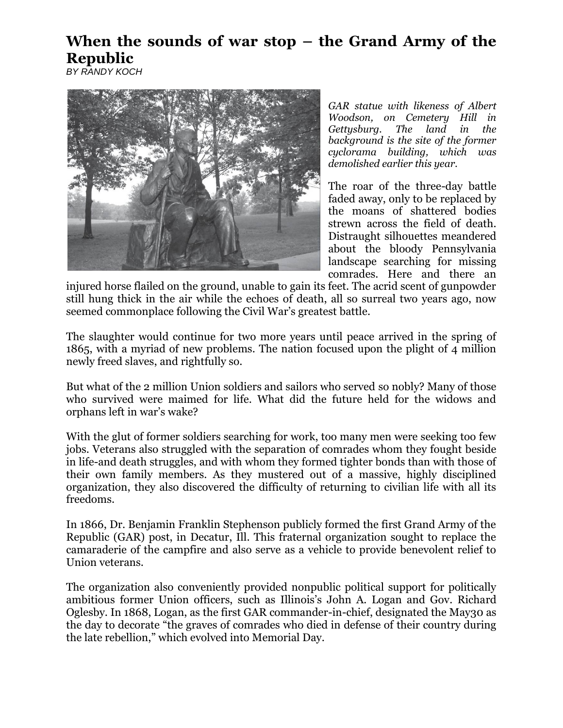## **When the sounds of war stop – the Grand Army of the Republic**

*BY RANDY KOCH*



*GAR statue with likeness of Albert Woodson, on Cemetery Hill in Gettysburg. The land in the background is the site of the former cyclorama building, which was demolished earlier this year.*

The roar of the three-day battle faded away, only to be replaced by the moans of shattered bodies strewn across the field of death. Distraught silhouettes meandered about the bloody Pennsylvania landscape searching for missing comrades. Here and there an

injured horse flailed on the ground, unable to gain its feet. The acrid scent of gunpowder still hung thick in the air while the echoes of death, all so surreal two years ago, now seemed commonplace following the Civil War's greatest battle.

The slaughter would continue for two more years until peace arrived in the spring of 1865, with a myriad of new problems. The nation focused upon the plight of 4 million newly freed slaves, and rightfully so.

But what of the 2 million Union soldiers and sailors who served so nobly? Many of those who survived were maimed for life. What did the future held for the widows and orphans left in war's wake?

With the glut of former soldiers searching for work, too many men were seeking too few jobs. Veterans also struggled with the separation of comrades whom they fought beside in life-and death struggles, and with whom they formed tighter bonds than with those of their own family members. As they mustered out of a massive, highly disciplined organization, they also discovered the difficulty of returning to civilian life with all its freedoms.

In 1866, Dr. Benjamin Franklin Stephenson publicly formed the first Grand Army of the Republic (GAR) post, in Decatur, Ill. This fraternal organization sought to replace the camaraderie of the campfire and also serve as a vehicle to provide benevolent relief to Union veterans.

The organization also conveniently provided nonpublic political support for politically ambitious former Union officers, such as Illinois's John A. Logan and Gov. Richard Oglesby. In 1868, Logan, as the first GAR commander-in-chief, designated the May30 as the day to decorate "the graves of comrades who died in defense of their country during the late rebellion," which evolved into Memorial Day.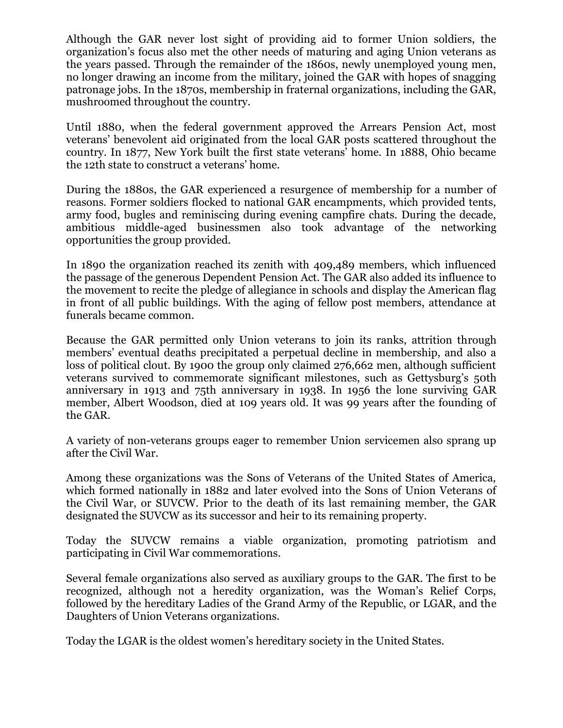Although the GAR never lost sight of providing aid to former Union soldiers, the organization's focus also met the other needs of maturing and aging Union veterans as the years passed. Through the remainder of the 1860s, newly unemployed young men, no longer drawing an income from the military, joined the GAR with hopes of snagging patronage jobs. In the 1870s, membership in fraternal organizations, including the GAR, mushroomed throughout the country.

Until 1880, when the federal government approved the Arrears Pension Act, most veterans' benevolent aid originated from the local GAR posts scattered throughout the country. In 1877, New York built the first state veterans' home. In 1888, Ohio became the 12th state to construct a veterans' home.

During the 1880s, the GAR experienced a resurgence of membership for a number of reasons. Former soldiers flocked to national GAR encampments, which provided tents, army food, bugles and reminiscing during evening campfire chats. During the decade, ambitious middle-aged businessmen also took advantage of the networking opportunities the group provided.

In 1890 the organization reached its zenith with 409,489 members, which influenced the passage of the generous Dependent Pension Act. The GAR also added its influence to the movement to recite the pledge of allegiance in schools and display the American flag in front of all public buildings. With the aging of fellow post members, attendance at funerals became common.

Because the GAR permitted only Union veterans to join its ranks, attrition through members' eventual deaths precipitated a perpetual decline in membership, and also a loss of political clout. By 1900 the group only claimed 276,662 men, although sufficient veterans survived to commemorate significant milestones, such as Gettysburg's 50th anniversary in 1913 and 75th anniversary in 1938. In 1956 the lone surviving GAR member, Albert Woodson, died at 109 years old. It was 99 years after the founding of the GAR.

A variety of non-veterans groups eager to remember Union servicemen also sprang up after the Civil War.

Among these organizations was the Sons of Veterans of the United States of America, which formed nationally in 1882 and later evolved into the Sons of Union Veterans of the Civil War, or SUVCW. Prior to the death of its last remaining member, the GAR designated the SUVCW as its successor and heir to its remaining property.

Today the SUVCW remains a viable organization, promoting patriotism and participating in Civil War commemorations.

Several female organizations also served as auxiliary groups to the GAR. The first to be recognized, although not a heredity organization, was the Woman's Relief Corps, followed by the hereditary Ladies of the Grand Army of the Republic, or LGAR, and the Daughters of Union Veterans organizations.

Today the LGAR is the oldest women's hereditary society in the United States.